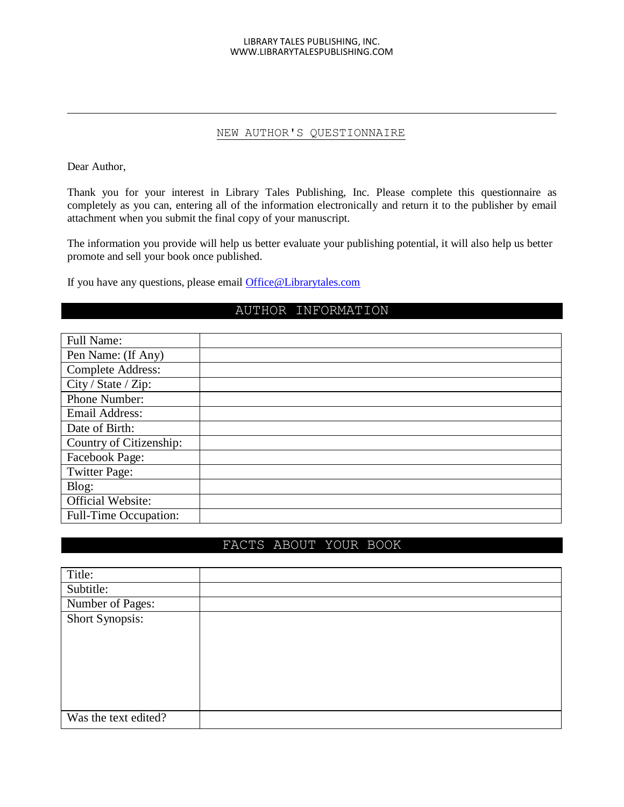#### LIBRARY TALES PUBLISHING, INC. WWW.LIBRARYTALESPUBLISHING.COM

### NEW AUTHOR'S QUESTIONNAIRE

Dear Author,

Thank you for your interest in Library Tales Publishing, Inc. Please complete this questionnaire as completely as you can, entering all of the information electronically and return it to the publisher by email attachment when you submit the final copy of your manuscript.

The information you provide will help us better evaluate your publishing potential, it will also help us better promote and sell your book once published.

If you have any questions, please email [Office@Librarytales.com](mailto:Office@Librarytales.com)

## AUTHOR INFORMATION

| <b>Full Name:</b>        |  |
|--------------------------|--|
| Pen Name: (If Any)       |  |
| <b>Complete Address:</b> |  |
| City / State / Zip:      |  |
| Phone Number:            |  |
| <b>Email Address:</b>    |  |
| Date of Birth:           |  |
| Country of Citizenship:  |  |
| Facebook Page:           |  |
| <b>Twitter Page:</b>     |  |
| Blog:                    |  |
| Official Website:        |  |
| Full-Time Occupation:    |  |

## FACTS ABOUT YOUR BOOK

| Title:               |  |
|----------------------|--|
| Subtitle:            |  |
| Number of Pages:     |  |
| Short Synopsis:      |  |
|                      |  |
|                      |  |
|                      |  |
|                      |  |
|                      |  |
|                      |  |
| Was the text edited? |  |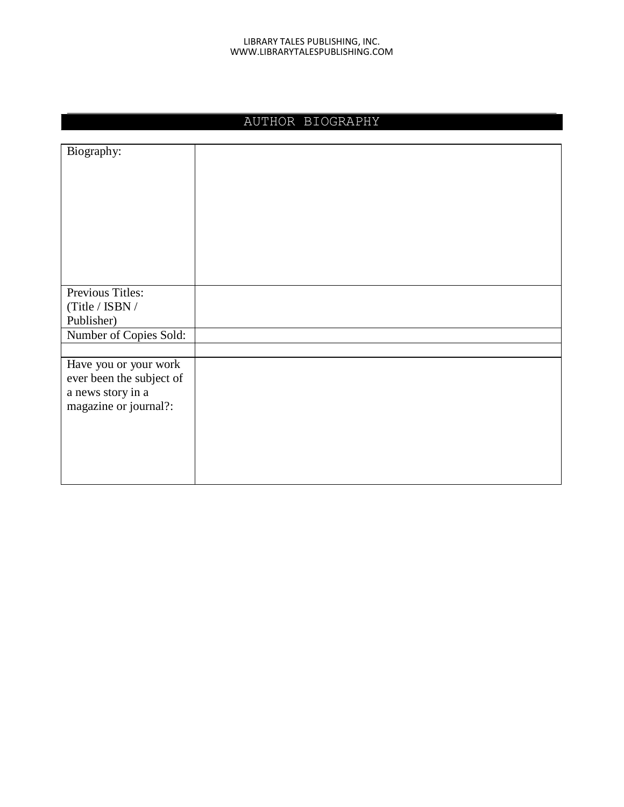#### LIBRARY TALES PUBLISHING, INC. WWW.LIBRARYTALESPUBLISHING.COM

## AUTHOR BIOGRAPHY

| Biography:               |  |
|--------------------------|--|
|                          |  |
|                          |  |
|                          |  |
|                          |  |
|                          |  |
|                          |  |
|                          |  |
|                          |  |
| Previous Titles:         |  |
| (Title / ISBN /          |  |
| Publisher)               |  |
| Number of Copies Sold:   |  |
|                          |  |
| Have you or your work    |  |
| ever been the subject of |  |
| a news story in a        |  |
| magazine or journal?:    |  |
|                          |  |
|                          |  |
|                          |  |
|                          |  |
|                          |  |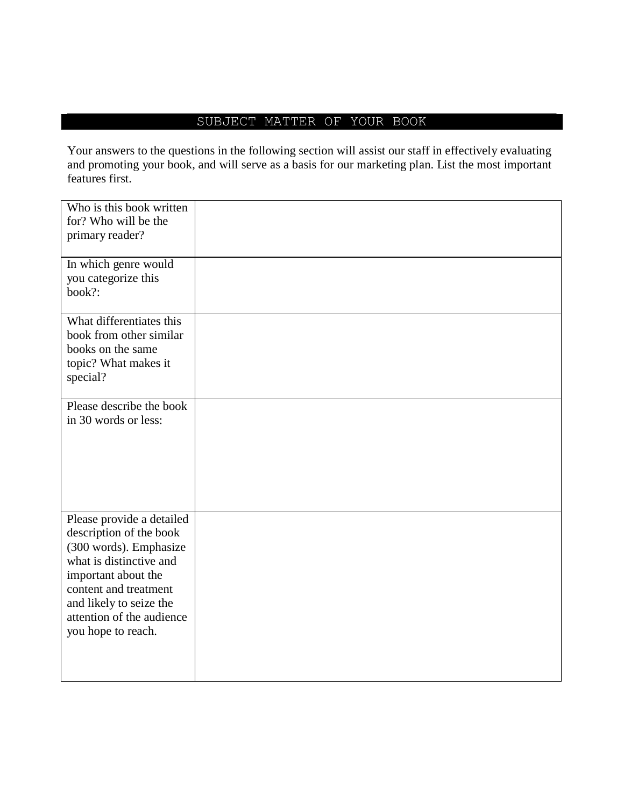# SUBJECT MATTER OF YOUR BOOK

Your answers to the questions in the following section will assist our staff in effectively evaluating and promoting your book, and will serve as a basis for our marketing plan. List the most important features first.

| Who is this book written  |  |
|---------------------------|--|
| for? Who will be the      |  |
| primary reader?           |  |
|                           |  |
|                           |  |
| In which genre would      |  |
| you categorize this       |  |
|                           |  |
| book?:                    |  |
|                           |  |
| What differentiates this  |  |
| book from other similar   |  |
|                           |  |
| books on the same         |  |
| topic? What makes it      |  |
| special?                  |  |
|                           |  |
| Please describe the book  |  |
|                           |  |
| in 30 words or less:      |  |
|                           |  |
|                           |  |
|                           |  |
|                           |  |
|                           |  |
|                           |  |
|                           |  |
| Please provide a detailed |  |
|                           |  |
| description of the book   |  |
| (300 words). Emphasize    |  |
| what is distinctive and   |  |
| important about the       |  |
| content and treatment     |  |
|                           |  |
| and likely to seize the   |  |
| attention of the audience |  |
| you hope to reach.        |  |
|                           |  |
|                           |  |
|                           |  |
|                           |  |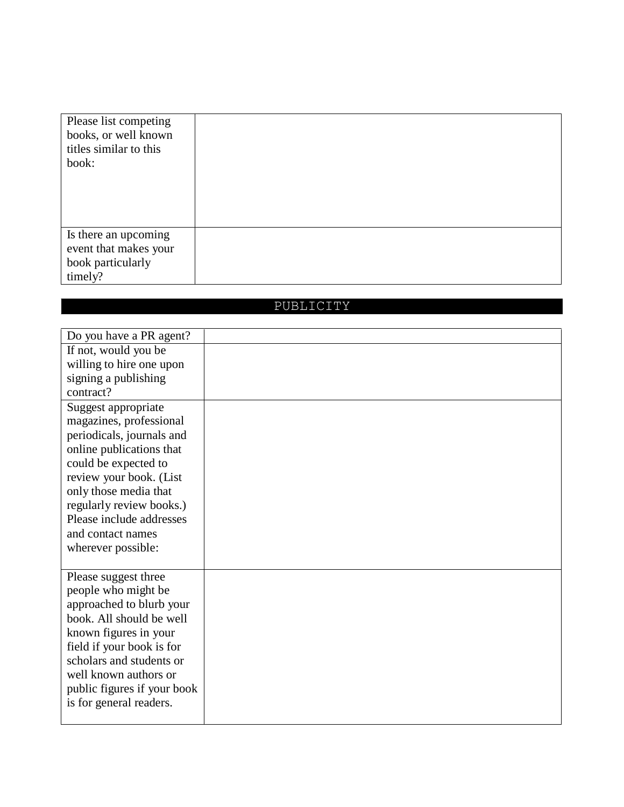| Please list competing<br>books, or well known<br>titles similar to this<br>book: |  |
|----------------------------------------------------------------------------------|--|
| Is there an upcoming<br>event that makes your<br>book particularly<br>timely?    |  |

# PUBLICITY

| Do you have a PR agent?     |  |
|-----------------------------|--|
| If not, would you be        |  |
| willing to hire one upon    |  |
| signing a publishing        |  |
| contract?                   |  |
| Suggest appropriate         |  |
| magazines, professional     |  |
| periodicals, journals and   |  |
| online publications that    |  |
| could be expected to        |  |
| review your book. (List     |  |
| only those media that       |  |
| regularly review books.)    |  |
| Please include addresses    |  |
| and contact names           |  |
| wherever possible:          |  |
|                             |  |
| Please suggest three        |  |
| people who might be         |  |
| approached to blurb your    |  |
| book. All should be well    |  |
| known figures in your       |  |
| field if your book is for   |  |
| scholars and students or    |  |
| well known authors or       |  |
| public figures if your book |  |
| is for general readers.     |  |
|                             |  |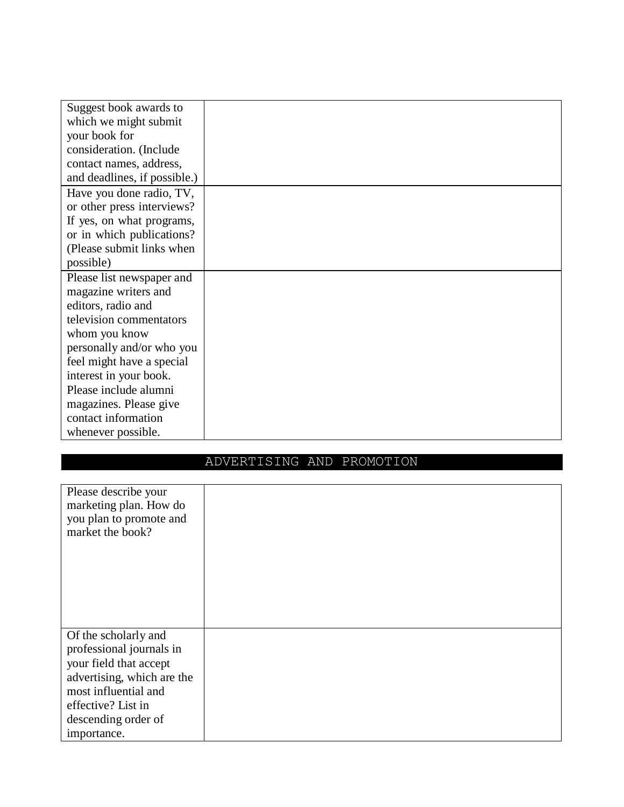| Suggest book awards to       |  |
|------------------------------|--|
| which we might submit        |  |
| your book for                |  |
| consideration. (Include      |  |
| contact names, address,      |  |
| and deadlines, if possible.) |  |
| Have you done radio, TV,     |  |
| or other press interviews?   |  |
| If yes, on what programs,    |  |
| or in which publications?    |  |
| (Please submit links when    |  |
| possible)                    |  |
| Please list newspaper and    |  |
| magazine writers and         |  |
| editors, radio and           |  |
| television commentators      |  |
| whom you know                |  |
| personally and/or who you    |  |
| feel might have a special    |  |
| interest in your book.       |  |
| Please include alumni        |  |
| magazines. Please give       |  |
| contact information          |  |
| whenever possible.           |  |

# ADVERTISING AND PROMOTION

| Please describe your<br>marketing plan. How do<br>you plan to promote and<br>market the book?                                                                                                |  |
|----------------------------------------------------------------------------------------------------------------------------------------------------------------------------------------------|--|
| Of the scholarly and<br>professional journals in<br>your field that accept<br>advertising, which are the<br>most influential and<br>effective? List in<br>descending order of<br>importance. |  |